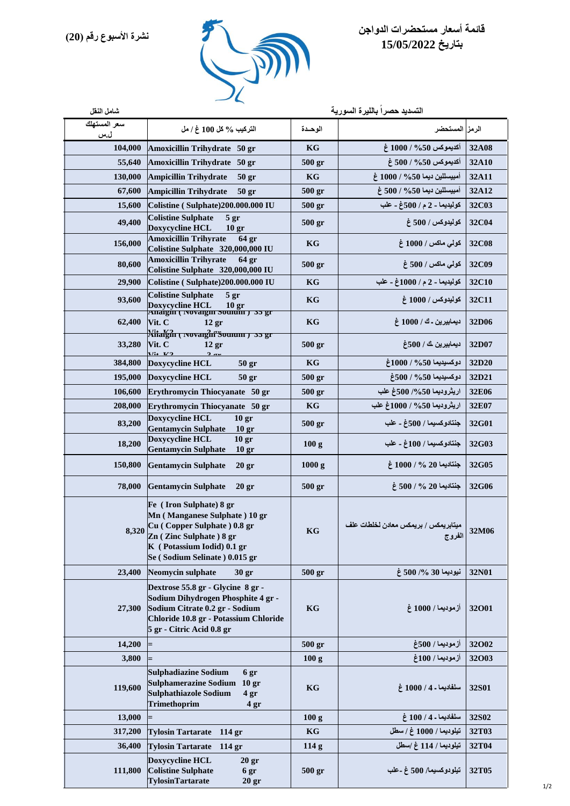

## **قائمة أسعار مستحضرات الدواجن بتاريخ 15/05/2022**

| شامل النقل          | التسديد حصراً بالليرة السورية                                                                                                                                                           |                   |                                                          |       |  |
|---------------------|-----------------------------------------------------------------------------------------------------------------------------------------------------------------------------------------|-------------------|----------------------------------------------------------|-------|--|
| سعر المستهلك<br>ل.س | التركيب % كل 100 غ / مل                                                                                                                                                                 | الوحدة            | الرمز المستحضر                                           |       |  |
| 104,000             | Amoxicillin Trihydrate 50 gr                                                                                                                                                            | KG                | أكديموكس 50% / 1000 غ                                    | 32A08 |  |
| 55,640              | Amoxicillin Trihydrate 50 gr                                                                                                                                                            | 500 <sub>gr</sub> | أكديموكس 50% / 500 غ                                     | 32A10 |  |
| 130,000             | <b>Ampicillin Trihydrate</b><br>50 <sub>gr</sub>                                                                                                                                        | KG                | أمبيسللين ديما 50% / 1000 غ                              | 32A11 |  |
| 67,600              | Ampicillin Trihydrate<br>50 <sub>gr</sub>                                                                                                                                               | $500$ gr          | أمبيسللين ديما 500 / 500 غ                               | 32A12 |  |
| 15,600              | Colistine (Sulphate)200.000.000 IU                                                                                                                                                      | $500$ gr          | كوليديما ـ 2 م / 500غ ـ علب                              | 32C03 |  |
| 49,400              | <b>Colistine Sulphate</b><br>5 gr<br>Doxycycline HCL<br>10 <sub>gr</sub>                                                                                                                | 500 <sub>gr</sub> | كوليدوكس / 500 غ                                         | 32C04 |  |
| 156,000             | <b>Amoxicillin Trihyrate</b><br>64 <sub>gr</sub><br>Colistine Sulphate 320,000,000 IU                                                                                                   | KG                | كولى ماكس / 1000 غ                                       | 32C08 |  |
| 80,600              | <b>Amoxicillin Trihyrate</b><br>64 <sub>gr</sub><br>Colistine Sulphate 320,000,000 IU                                                                                                   | $500$ gr          | كولى ماكس / 500 غ                                        | 32C09 |  |
| 29,900              | Colistine (Sulphate)200.000.000 IU                                                                                                                                                      | KG                | كوليديما ـ 2 م / 1000غ ـ علب                             | 32C10 |  |
| 93,600              | <b>Colistine Sulphate</b><br>5 gr<br><b>Doxycycline HCL</b>                                                                                                                             | KG                | كوليدوكس / 1000 غ                                        | 32C11 |  |
| 62,400              | Doxycycline HCL 10 gr<br>Anaigin ( Novaigin Souium ) 35 gr<br>Vit. $C$<br>$12$ gr                                                                                                       | KG                | ديمابيرين ـ ك / 1000 غ                                   | 32D06 |  |
| 33,280              | <b>Xitalgin</b> ( Novaight Souium ) 35 gr<br>Vit. C<br>12 <sub>gr</sub>                                                                                                                 | 500 <sub>gr</sub> | ديمابيرين ك / 500غ                                       | 32D07 |  |
| 384,800             | V:4 V2<br>$2 -$<br>Doxycycline HCL<br>50 <sub>gr</sub>                                                                                                                                  | KG                | دوكسيديما 50% / 1000غ                                    | 32D20 |  |
| 195,000             | Doxycycline HCL<br>50 <sub>gr</sub>                                                                                                                                                     | $500$ gr          | دوكسيديما 50% / 500غ                                     | 32D21 |  |
| 106,600             | Erythromycin Thiocyanate 50 gr                                                                                                                                                          | $500$ gr          | اريثروديما 50%/ 500غ علب                                 | 32E06 |  |
| 208,000             | Erythromycin Thiocyanate 50 gr                                                                                                                                                          | KG                | اريثروديما 50% / 1000غ علب                               | 32E07 |  |
| 83,200              | Doxycycline HCL<br>10 <sub>gr</sub><br><b>Gentamycin Sulphate</b><br>10 <sub>gr</sub>                                                                                                   | 500 <sub>gr</sub> | جنتادوكسيما / 500غ ـ علب                                 | 32G01 |  |
| 18,200              | Doxycycline HCL<br>10 <sub>gr</sub><br><b>Gentamycin Sulphate</b><br>10 <sub>gr</sub>                                                                                                   | 100g              | جنتادوكسيما / 100غ ـ علب                                 | 32G03 |  |
| 150,800             | <b>Gentamycin Sulphate</b><br>20 <sub>gr</sub>                                                                                                                                          | 1000 g            | $\pm 1000 / \% 20$ جنتاديما                              | 32G05 |  |
| 78,000              | <b>Gentamycin Sulphate</b><br>20 <sub>gr</sub>                                                                                                                                          | $500$ gr          | $\frac{1}{2}$ جنتاديما 20 % / 500 غ                      | 32G06 |  |
|                     | Fe (Iron Sulphate) 8 gr<br>Mn (Manganese Sulphate) 10 gr<br>8,320 Cu (Copper Sulphate) 0.8 gr<br>Zn (Zinc Sulphate) 8 gr<br>K (Potassium Iodid) 0.1 gr<br>Se (Sodium Selinate) 0.015 gr | KG                | ميتابريمكس / بريمكس معادن لخلطات علف<br>الفروج<br>الفروج | 32M06 |  |
| 23,400              | Neomycin sulphate<br>30 <sub>gr</sub>                                                                                                                                                   | 500 <sub>gr</sub> | نيوديما 30 %/ 500 غ                                      | 32N01 |  |
| 27,300              | Dextrose 55.8 gr - Glycine 8 gr -<br>Sodium Dihydrogen Phosphite 4 gr -<br>Sodium Citrate 0.2 gr - Sodium<br>Chloride 10.8 gr - Potassium Chloride<br>5 gr - Citric Acid 0.8 gr         | KG                | أزموديما / 1000 غ                                        | 32001 |  |
| 14,200              |                                                                                                                                                                                         | 500 <sub>gr</sub> | أزموديما / 500غ                                          | 32002 |  |
| 3,800               |                                                                                                                                                                                         | 100 <sub>g</sub>  | أزموديما / 100غ                                          | 32003 |  |
| 119,600             | <b>Sulphadiazine Sodium</b><br>6 gr<br>Sulphamerazine Sodium 10 gr<br><b>Sulphathiazole Sodium</b><br>4 gr<br>Trimethoprim<br>4 gr                                                      | KG                | سلفاديما - 4 / 1000 غ                                    | 32S01 |  |
| 13,000              |                                                                                                                                                                                         | 100 <sub>g</sub>  | سلفاديما ـ 4 / 100 غ                                     | 32S02 |  |
| 317,200             | Tylosin Tartarate 114 gr                                                                                                                                                                | KG                | تيلوديما / 1000 غ / سطل                                  | 32T03 |  |
| 36,400              | <b>Tylosin Tartarate</b><br>114 gr                                                                                                                                                      | 114 <sub>g</sub>  | تيلوديما / 114 غ /سطل                                    | 32T04 |  |
| 111,800             | Doxycycline HCL<br>20 <sub>gr</sub><br><b>Colistine Sulphate</b><br>6 gr<br>TylosinTartarate<br>20 <sub>gr</sub>                                                                        | 500 <sub>gr</sub> | تيلودوكسيما/ 500 غ ـعلب                                  | 32T05 |  |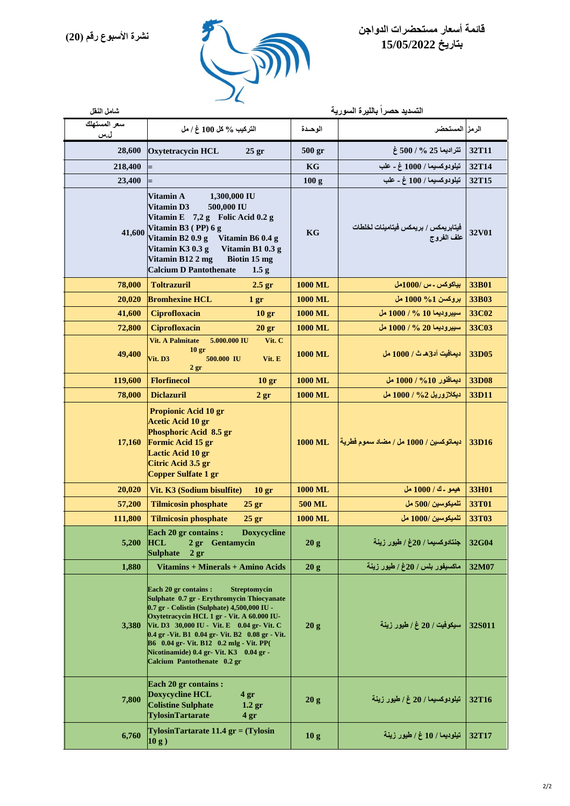

## **قائمة أسعار مستحضرات الدواجن بتاريخ 15/05/2022**

| شامل النقل          | التسديد حصراً بالليرة السورية                                                                                                                                                                                                                                                                                                                                                                                          |                   |                                                    |        |
|---------------------|------------------------------------------------------------------------------------------------------------------------------------------------------------------------------------------------------------------------------------------------------------------------------------------------------------------------------------------------------------------------------------------------------------------------|-------------------|----------------------------------------------------|--------|
| سعر المستهلك<br>ل.س | التركيب % كل 100 غ / مل                                                                                                                                                                                                                                                                                                                                                                                                | الوحدة            | الرمز المستحضر                                     |        |
| 28,600              | <b>Oxytetracycin HCL</b><br>25 gr                                                                                                                                                                                                                                                                                                                                                                                      | 500 <sub>gr</sub> | تتراديما 25 % / 500 غ                              | 32T11  |
| 218,400             |                                                                                                                                                                                                                                                                                                                                                                                                                        | KG                | تيلودوكسيما / 1000 غ ـ علب                         | 32T14  |
| 23,400              |                                                                                                                                                                                                                                                                                                                                                                                                                        | 100 <sub>g</sub>  | تيلودوكسيما / 100 غ ـ علب                          | 32T15  |
| 41,600              | 1,300,000 IU<br>Vitamin A<br><b>Vitamin D3</b><br>500,000 IU<br>Vitamin E 7,2 g Folic Acid 0.2 g<br>Vitamin B3 (PP) 6 g<br>Vitamin B2 0.9 g<br>Vitamin B6 0.4 g<br>Vitamin K3 0.3 g<br>Vitamin B1 0.3 g<br>Vitamin B12 2 mg<br>Biotin 15 mg<br><b>Calcium D Pantothenate</b><br>1.5 <sub>g</sub>                                                                                                                       | KG                | فيتابريمكس / بريمكس فيتامينات لخلطات<br>علف الفروج | 32V01  |
| 78,000              | <b>Toltrazuril</b><br>2.5 <sub>gr</sub>                                                                                                                                                                                                                                                                                                                                                                                | <b>1000 ML</b>    | بياكوكس ـ س /1000مل                                | 33B01  |
| 20,020              | <b>Bromhexine HCL</b><br>1 <sub>gr</sub>                                                                                                                                                                                                                                                                                                                                                                               | <b>1000 ML</b>    | بروكسن 1% 1000 مل                                  | 33B03  |
| 41,600              | <b>Ciprofloxacin</b><br>10 <sub>gr</sub>                                                                                                                                                                                                                                                                                                                                                                               | 1000 ML           | سيبروديما 10 % / 1000 مل                           | 33C02  |
| 72,800              | Ciprofloxacin<br>20 <sub>gr</sub>                                                                                                                                                                                                                                                                                                                                                                                      | <b>1000 ML</b>    | سيبروديما 20 % / 1000 مل                           | 33C03  |
| 49,400              | <b>Vit. A Palmitate</b><br>5.000.000 IU<br>Vit. C<br>10 <sub>gr</sub><br>Vit. D3<br>500.000 IU<br>Vit. E<br>2 <sub>gr</sub>                                                                                                                                                                                                                                                                                            | <b>1000 ML</b>    | ديمافيت آد3هـ ث / 1000 مل                          | 33D05  |
| 119,600             | <b>Florfinecol</b><br>10 <sub>gr</sub>                                                                                                                                                                                                                                                                                                                                                                                 | <b>1000 ML</b>    | ديمافلور 10% / 1000 مل                             | 33D08  |
| 78,000              | <b>Diclazuril</b><br>2 <sub>gr</sub>                                                                                                                                                                                                                                                                                                                                                                                   | <b>1000 ML</b>    | <u>ديكلازوريل 2% / 1000</u> مل                     | 33D11  |
| 17,160              | <b>Propionic Acid 10 gr</b><br>Acetic Acid 10 gr<br>Phosphoric Acid 8.5 gr<br>Formic Acid 15 gr<br>Lactic Acid 10 gr<br>Citric Acid 3.5 gr<br>Copper Sulfate 1 gr                                                                                                                                                                                                                                                      | <b>1000 ML</b>    | ديماتوكسين / 1000 مل / مضاد سموم فطرية             | 33D16  |
| 20,020              | Vit. K3 (Sodium bisulfite)<br>10 <sub>gr</sub>                                                                                                                                                                                                                                                                                                                                                                         | <b>1000 ML</b>    | هيمو ـ ك / 1000 مل                                 | 33H01  |
| 57,200              | <b>Tilmicosin phosphate</b><br>$25$ gr                                                                                                                                                                                                                                                                                                                                                                                 | <b>500 ML</b>     | تلميكوسين /500 مل                                  | 33T01  |
| 111,800             | <b>Tilmicosin phosphate</b><br>25 <sub>gr</sub>                                                                                                                                                                                                                                                                                                                                                                        | <b>1000 ML</b>    | تلميكوسين /1000 مل                                 | 33T03  |
| 5,200               | Each 20 gr contains : Doxycycline<br><b>HCL</b><br>2 gr Gentamycin<br><b>Sulphate</b><br>2 <sub>gr</sub>                                                                                                                                                                                                                                                                                                               | 20 g              | جنتادوكسيما / 20غ / طيور زينة                      | 32G04  |
| 1,880               | Vitamins + Minerals + Amino Acids                                                                                                                                                                                                                                                                                                                                                                                      | 20g               | ماكسيفور بلس / 20غ / طيور زينة                     | 32M07  |
| <b>3,380</b>        | Each 20 gr contains :<br><b>Streptomycin</b><br>Sulphate 0.7 gr - Erythromycin Thiocyanate<br>0.7 gr - Colistin (Sulphate) 4,500,000 IU -<br>Oxytetracycin HCL 1 gr - Vit. A 60.000 IU-<br>Vit. D3 30,000 IU - Vit. E 0.04 gr- Vit. C<br>0.4 gr - Vit. B1 0.04 gr - Vit. B2 0.08 gr - Vit.<br><b>B6</b> 0.04 gr- Vit. B12 0.2 mlg - Vit. PP(<br>Nicotinamide) 0.4 gr- Vit. K3 0.04 gr -<br>Calcium Pantothenate 0.2 gr | 20g               | سيكوفيت / 20 غ / طيور زينة                         | 32S011 |
| 7,800               | Each 20 gr contains :<br>Doxycycline HCL<br>4 <sub>gr</sub><br><b>Colistine Sulphate</b><br>1.2 <sub>gr</sub><br><b>TylosinTartarate</b><br>4 <sub>gr</sub>                                                                                                                                                                                                                                                            | 20 g              | تيلودوكسيما / 20 غ / طيور زينة                     | 32T16  |
| 6,760               | $Ty$ losin $T$ artarate 11.4 gr = $(Ty$ losin<br> 10 g)                                                                                                                                                                                                                                                                                                                                                                | 10 <sub>g</sub>   | تيلوديما / 10 غ / طيور زينة                        | 32T17  |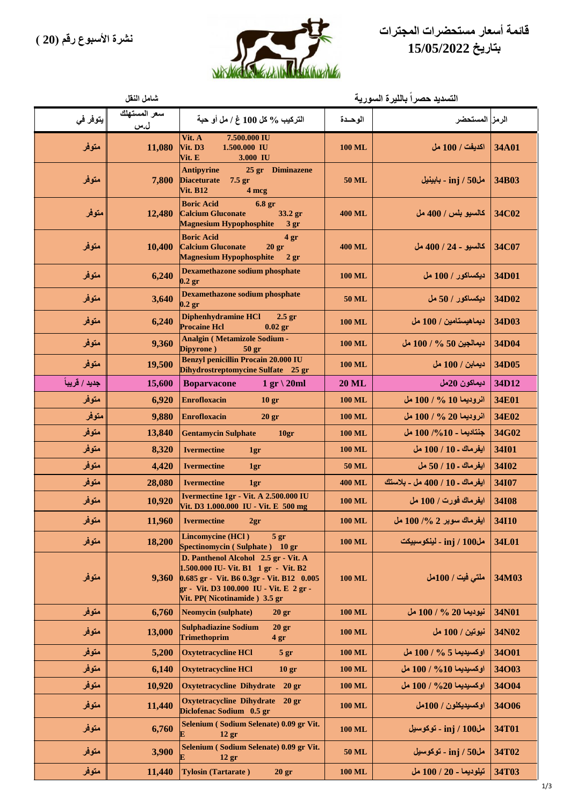



|               | شامل النقل          | التسديد حصراً بالليرة السورية                                                                                                                                                                        |               |                                |              |
|---------------|---------------------|------------------------------------------------------------------------------------------------------------------------------------------------------------------------------------------------------|---------------|--------------------------------|--------------|
| يتوفر في      | سعر المستهلك<br>ل.س | التركيب % كل 100 غ / مل أو حبة                                                                                                                                                                       | الوحدة        | الرمز المستحضر                 |              |
| متوفر         | 11,080              | Vit. A<br>7.500.000 IU<br>Vit. D3<br>1.500.000 IU<br>Vit. E<br>3.000 IU                                                                                                                              | <b>100 ML</b> | اكديفت / 100 مل                | 34A01        |
| متوفر         | 7,800               | <b>Antipyrine</b><br>25 gr Diminazene<br>$7.5$ gr<br><b>Diaceturate</b><br><b>Vit. B12</b><br>4 mcg                                                                                                  | 50 ML         | مل50 / inj - بابينيل           | 34B03        |
| متوفر         | 12,480              | <b>Boric Acid</b><br>6.8 <sub>gr</sub><br><b>Calcium Gluconate</b><br>33.2 gr<br><b>Magnesium Hypophosphite</b><br>3 <sub>gr</sub>                                                                   | <b>400 ML</b> | كالسيو بلس / 400 مل            | 34C02        |
| متوفر         | 10,400              | <b>Boric Acid</b><br>4 <sub>gr</sub><br><b>Calcium Gluconate</b><br>20 <sub>gr</sub><br><b>Magnesium Hypophosphite</b><br>2 <sub>gr</sub>                                                            | <b>400 ML</b> | كالسيو - 24 / 400 مل           | 34C07        |
| متوفر         | 6,240               | Dexamethazone sodium phosphate<br>$0.2$ gr                                                                                                                                                           | <b>100 ML</b> | ديكساكور / 100 مل              | 34D01        |
| متوفر         | 3,640               | <b>Dexamethazone sodium phosphate</b><br>$0.2$ gr                                                                                                                                                    | 50 ML         | ديكساكور / 50 مل               | 34D02        |
| متوفر         | 6,240               | <b>Diphenhydramine HCI</b><br>$2.5$ gr<br><b>Procaine Hcl</b><br>$0.02$ gr                                                                                                                           | <b>100 ML</b> | ديماهيستامين / 100 مل          | 34D03        |
| متوفر         | 9,360               | <b>Analgin (Metamizole Sodium -</b><br>Dipyrone)<br>50 <sub>gr</sub>                                                                                                                                 | <b>100 ML</b> | ديمالجين 50 % / 100 مل         | 34D04        |
| متوفر         | 19,500              | <b>Benzyl penicillin Procain 20.000 IU</b><br>Dihydrostreptomycine Sulfate 25 gr                                                                                                                     | <b>100 ML</b> | ديمابن / 100 مل                | 34D05        |
| جديد / قريباً | 15,600              | $1 gr \ 20ml$<br><b>Boparvacone</b>                                                                                                                                                                  | <b>20 ML</b>  | ديماكون 20مل                   | 34D12        |
| متوفر         | 6,920               | <b>Enrofloxacin</b><br>10 <sub>gr</sub>                                                                                                                                                              | <b>100 ML</b> | انروديما 10 % / 100 مل         | 34E01        |
| متوفر         | 9,880               | <b>Enrofloxacin</b><br>20 <sub>gr</sub>                                                                                                                                                              | <b>100 ML</b> | انروديما 20 % / 100 مل         | 34E02        |
| متوفر         | 13,840              | <b>Gentamycin Sulphate</b><br>10gr                                                                                                                                                                   | <b>100 ML</b> | جنتاديما - 100% 100 مل         | 34G02        |
| متوفر         | 8,320               | <b>Ivermectine</b><br>1gr                                                                                                                                                                            | <b>100 ML</b> | ايفرماك ـ 10 / 100 مل          | 34101        |
| متوفر         | 4,420               | <b>Ivermectine</b><br>1gr                                                                                                                                                                            | 50 ML         | ايفرماك ـ 10 / 50 مل           | 34102        |
| متوفر         | 28,080              | <b>Ivermectine</b><br>1gr                                                                                                                                                                            | <b>400 ML</b> | ايفرماك ـ 10 / 400 مل ـ بلاستك | 34107        |
| متوفر         | 10,920              | Ivermectine 1gr - Vit. A 2.500.000 IU<br>Vit. D3 1.000.000 IU - Vit. E 500 mg                                                                                                                        | <b>100 ML</b> | ايفرماك فورت / 100 مل          | 34108        |
| متوفر         | 11,960              | Ivermectine 2gr                                                                                                                                                                                      | <b>100 ML</b> | ايفرماك سوبر 2 %/ 100 مل       | <b>34I10</b> |
| متوفر         | 18,200              | Lincomycine (HCl)<br>5 <sub>gr</sub><br>Spectinomycin (Sulphate) 10 gr                                                                                                                               | <b>100 ML</b> | مل100 / inj - لينكوسبيكت       | 34L01        |
| متوفر         | 9,360               | D. Panthenol Alcohol 2.5 gr - Vit. A<br>1.500.000 IU- Vit. B1 1 gr - Vit. B2<br>0.685 gr - Vit. B6 0.3gr - Vit. B12 0.005<br>gr - Vit. D3 100.000 IU - Vit. E 2 gr -<br>Vit. PP(Nicotinamide) 3.5 gr | <b>100 ML</b> | ملتى فيت / 100مل               | 34M03        |
| متوفر         | 6,760               | <b>Neomycin</b> (sulphate)<br>20 <sub>gr</sub>                                                                                                                                                       | <b>100 ML</b> | نيوديما 20 % / 100 مل          | 34N01        |
| متوفر         | 13,000              | <b>Sulphadiazine Sodium</b><br>20 <sub>gr</sub><br>Trimethoprim<br>4 <sub>gr</sub>                                                                                                                   | <b>100 ML</b> | نيوتين / 100 مل                | 34N02        |
| متوفر         | 5,200               | <b>Oxytetracycline HCl</b><br>5 gr                                                                                                                                                                   | <b>100 ML</b> | اوكسيديما 5 % / 100 مل         | 34001        |
| متوفر         | 6,140               | <b>Oxytetracycline HCl</b><br>10 <sub>gr</sub>                                                                                                                                                       | <b>100 ML</b> | اوكسيديما 100% / 100 مل        | 34003        |
| متوفر         | 10,920              | Oxytetracycline Dihydrate 20 gr                                                                                                                                                                      | <b>100 ML</b> | اوكسيديما 20% / 100 مل         | 34004        |
| متوفر         | 11,440              | Oxytetracycline Dihydrate 20 gr<br>Diclofenac Sodium 0.5 gr                                                                                                                                          | <b>100 ML</b> | اوكسيديكلون / 100مل            | 34006        |
| متوفر         | 6,760               | Selenium (Sodium Selenate) 0.09 gr Vit.<br>12 <sub>gr</sub><br>E                                                                                                                                     | <b>100 ML</b> | مل100 / inj - توكوسيل          | 34T01        |
| متوفر         | 3,900               | Selenium (Sodium Selenate) 0.09 gr Vit.<br>E<br>$12 \text{ gr}$                                                                                                                                      | <b>50 ML</b>  | مل50 / inj - توكوسيل           | 34T02        |
| متوفر         | 11,440              | <b>Tylosin (Tartarate)</b><br>$20 \text{ gr}$                                                                                                                                                        | <b>100 ML</b> | تيلوديما - 20 / 100 مل         | 34T03        |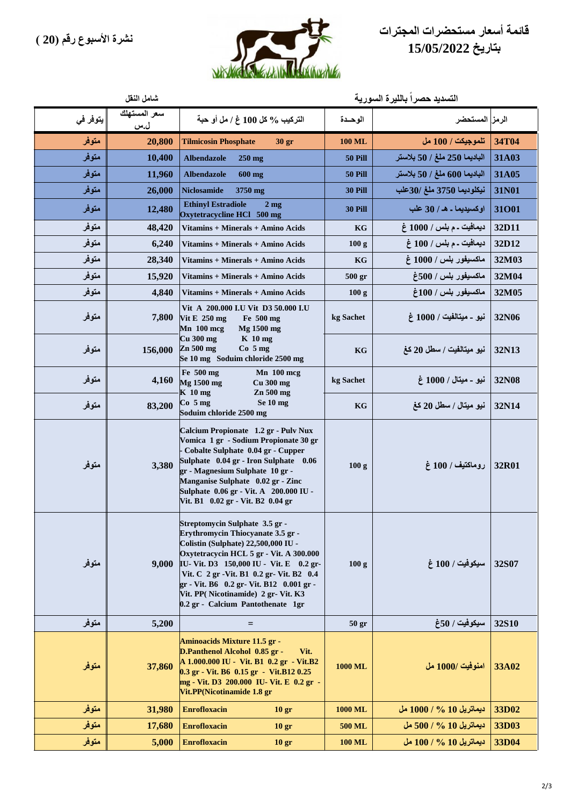



|          | التسديد حصراً بالليرة السورية<br>شامل النقل |                                                                                                                                                                                                                                                                                                                                                                       |                  |                              |              |
|----------|---------------------------------------------|-----------------------------------------------------------------------------------------------------------------------------------------------------------------------------------------------------------------------------------------------------------------------------------------------------------------------------------------------------------------------|------------------|------------------------------|--------------|
| يتوفر في | سعر المستهلك<br>ل.س                         | التركيب % كل 100 غ / مل أو حبة                                                                                                                                                                                                                                                                                                                                        | الوحدة           | الرمز المستحضر               |              |
| متوفر    | 20,800                                      | <b>Tilmicosin Phosphate</b><br>30 <sub>gr</sub>                                                                                                                                                                                                                                                                                                                       | <b>100 ML</b>    | تلموجيكت / 100 مل            | 34T04        |
| متوفر    | 10,400                                      | <b>Albendazole</b><br>$250 \text{ mg}$                                                                                                                                                                                                                                                                                                                                | <b>50 Pill</b>   | الباديما 250 ملغ / 50 بلاستر | 31A03        |
| متوفر    | 11,960                                      | <b>Albendazole</b><br>600 mg                                                                                                                                                                                                                                                                                                                                          | <b>50 Pill</b>   | الباديما 600 ملغ / 50 بلاستر | 31A05        |
| متوفر    | 26,000                                      | <b>Niclosamide</b><br>3750 mg                                                                                                                                                                                                                                                                                                                                         | 30 Pill          | نيكلوديما 3750 ملغ /30علب    | 31N01        |
| متوفر    | 12,480                                      | <b>Ethinyl Estradiole</b><br>$2 \text{ mg}$<br>Oxytetracycline HCl 500 mg                                                                                                                                                                                                                                                                                             | 30 Pill          | اوكسيديما ـ هـ / 30 علب      | 31001        |
| متوفر    | 48,420                                      | Vitamins + Minerals + Amino Acids                                                                                                                                                                                                                                                                                                                                     | KG               | ديمافيت ـ م بلس / 1000 غ     | 32D11        |
| متوفر    | 6,240                                       | Vitamins + Minerals + Amino Acids                                                                                                                                                                                                                                                                                                                                     | 100 <sub>g</sub> | ديمافيت ـ م بلس / 100 غ      | 32D12        |
| متوفر    | 28,340                                      | Vitamins + Minerals + Amino Acids                                                                                                                                                                                                                                                                                                                                     | KG               | ماكسيفور بلس / 1000 غ        | 32M03        |
| متوفر    | 15,920                                      | Vitamins + Minerals + Amino Acids                                                                                                                                                                                                                                                                                                                                     | 500 gr           | ماكسيفور بلس / 500غ          | 32M04        |
| متوفر    | 4,840                                       | Vitamins + Minerals + Amino Acids                                                                                                                                                                                                                                                                                                                                     | 100 <sub>g</sub> | ماكسيفور بلس / 100غ          | 32M05        |
| متوفر    | 7,800                                       | Vit A 200.000 I.U Vit D3 50.000 I.U<br>Vit E $250$ mg<br>Fe 500 mg<br>$Mn$ 100 mcg<br>Mg 1500 mg<br>Cu 300 mg<br>$K10$ mg                                                                                                                                                                                                                                             | kg Sachet        | نيو ـ ميتالفيت / 1000 غ      | 32N06        |
| متوفر    | 156,000                                     | Zn 500 mg<br>$Co5$ mg<br>Se 10 mg Soduim chloride 2500 mg                                                                                                                                                                                                                                                                                                             | KG               | نيو ميتالفيت / سطل 20 كغ     | 32N13        |
| متوفر    | 4,160                                       | Fe 500 mg<br>Mn 100 mcg<br>Mg 1500 mg<br>$Cu$ 300 $mg$<br>$K$ 10 mg<br>Zn 500 mg                                                                                                                                                                                                                                                                                      | kg Sachet        | نيو - ميتال / 1000 غ         | 32N08        |
| متوفر    | 83,200                                      | $Co$ 5 mg<br>Se 10 mg<br>Soduim chloride 2500 mg                                                                                                                                                                                                                                                                                                                      | KG               | نيو ميتال / سطل 20 كغ        | 32N14        |
| متوفر    | 3,380                                       | Calcium Propionate 1.2 gr - Pulv Nux<br>Vomica 1 gr - Sodium Propionate 30 gr<br>- Cobalte Sulphate 0.04 gr - Cupper<br>Sulphate 0.04 gr - Iron Sulphate 0.06<br>gr - Magnesium Sulphate 10 gr -<br>Manganise Sulphate 0.02 gr - Zinc<br>Sulphate 0.06 gr - Vit. A 200.000 IU -<br>Vit. B1 0.02 gr - Vit. B2 0.04 gr                                                  | 100 <sub>g</sub> | روماكتيف / 100 غ             | 32R01        |
| متوفر    | 9,000                                       | Streptomycin Sulphate 3.5 gr -<br>Erythromycin Thiocyanate 3.5 gr -<br>Colistin (Sulphate) 22,500,000 IU -<br>Oxytetracycin HCL 5 gr - Vit. A 300.000<br>IU-Vit. D3 150,000 IU - Vit. E 0.2 gr-<br>Vit. C 2 gr - Vit. B1 0.2 gr - Vit. B2 0.4<br>gr - Vit. B6 0.2 gr- Vit. B12 0.001 gr -<br>Vit. PP(Nicotinamide) 2 gr- Vit. K3<br>0.2 gr - Calcium Pantothenate 1gr | 100 <sub>g</sub> | سيكوفيت / 100 غ              | 32S07        |
| متوفر    | 5,200                                       | $=$                                                                                                                                                                                                                                                                                                                                                                   | 50 <sub>gr</sub> | سيكوفيت / 50غ                | <b>32S10</b> |
| متوفر    | 37,860                                      | Aminoacids Mixture 11.5 gr -<br>D.Panthenol Alcohol 0.85 gr -<br>Vit.<br>A 1.000.000 IU - Vit. B1 0.2 gr - Vit.B2<br>0.3 gr - Vit. B6 0.15 gr - Vit.B12 0.25<br>mg - Vit. D3 200.000 IU- Vit. E 0.2 gr -<br>Vit.PP(Nicotinamide 1.8 gr                                                                                                                                | 1000 ML          | امنوفيت /1000 مل             | 33A02        |
| متوفر    | 31,980                                      | <b>Enrofloxacin</b><br>10 <sub>gr</sub>                                                                                                                                                                                                                                                                                                                               | <b>1000 ML</b>   | ديماتريل 10 % / 1000 مل      | 33D02        |
| متوفر    | 17,680                                      | <b>Enrofloxacin</b><br>10 <sub>gr</sub>                                                                                                                                                                                                                                                                                                                               | <b>500 ML</b>    | ديماتريل 10 % / 500 مل       | 33D03        |
| متوفر    | 5,000                                       | <b>Enrofloxacin</b><br>10 <sub>gr</sub>                                                                                                                                                                                                                                                                                                                               | <b>100 ML</b>    | ديماتريل 10 % / 100 مل       | 33D04        |